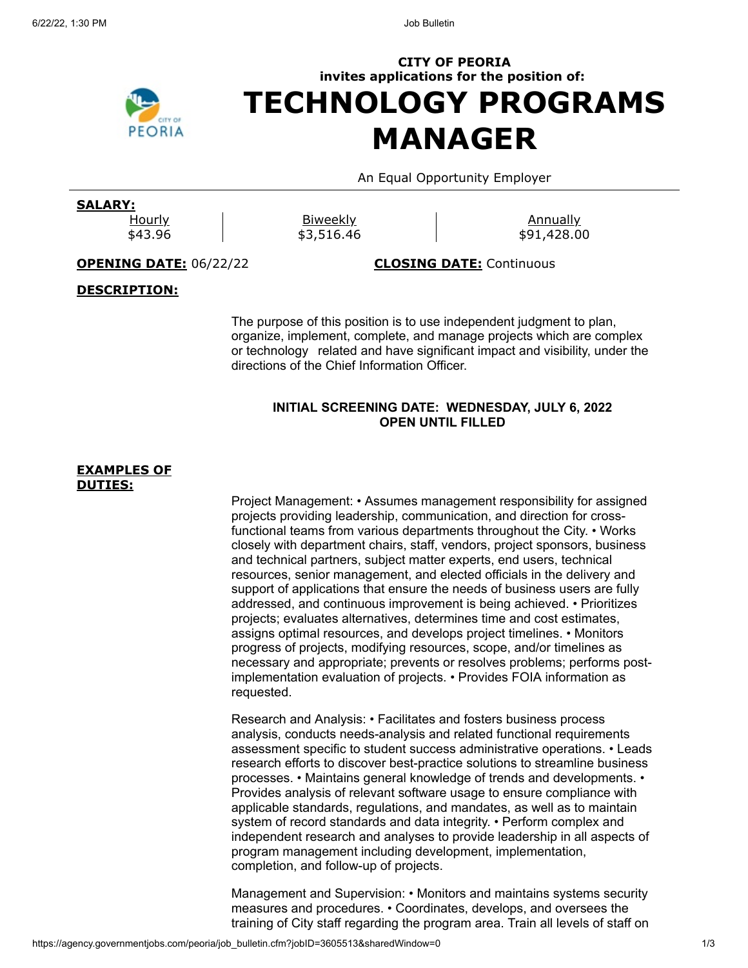

# **CITY OF PEORIA invites applications for the position of: TECHNOLOGY PROGRAMS MANAGER**

An Equal Opportunity Employer

# **SALARY:**

**Hourly** \$43.96

**Biweekly** \$3,516.46

**Annually** \$91,428.00

**OPENING DATE:** 06/22/22 **CLOSING DATE:** Continuous

# **DESCRIPTION:**

The purpose of this position is to use independent judgment to plan, organize, implement, complete, and manage projects which are complex or technology related and have significant impact and visibility, under the directions of the Chief Information Officer.

## **INITIAL SCREENING DATE: WEDNESDAY, JULY 6, 2022 OPEN UNTIL FILLED**

#### **EXAMPLES OF DUTIES:**

Project Management: • Assumes management responsibility for assigned projects providing leadership, communication, and direction for crossfunctional teams from various departments throughout the City. • Works closely with department chairs, staff, vendors, project sponsors, business and technical partners, subject matter experts, end users, technical resources, senior management, and elected officials in the delivery and support of applications that ensure the needs of business users are fully addressed, and continuous improvement is being achieved. • Prioritizes projects; evaluates alternatives, determines time and cost estimates, assigns optimal resources, and develops project timelines. • Monitors progress of projects, modifying resources, scope, and/or timelines as necessary and appropriate; prevents or resolves problems; performs postimplementation evaluation of projects. • Provides FOIA information as requested.

Research and Analysis: • Facilitates and fosters business process analysis, conducts needs-analysis and related functional requirements assessment specific to student success administrative operations. • Leads research efforts to discover best-practice solutions to streamline business processes. • Maintains general knowledge of trends and developments. • Provides analysis of relevant software usage to ensure compliance with applicable standards, regulations, and mandates, as well as to maintain system of record standards and data integrity. • Perform complex and independent research and analyses to provide leadership in all aspects of program management including development, implementation, completion, and follow-up of projects.

Management and Supervision: • Monitors and maintains systems security measures and procedures. • Coordinates, develops, and oversees the training of City staff regarding the program area. Train all levels of staff on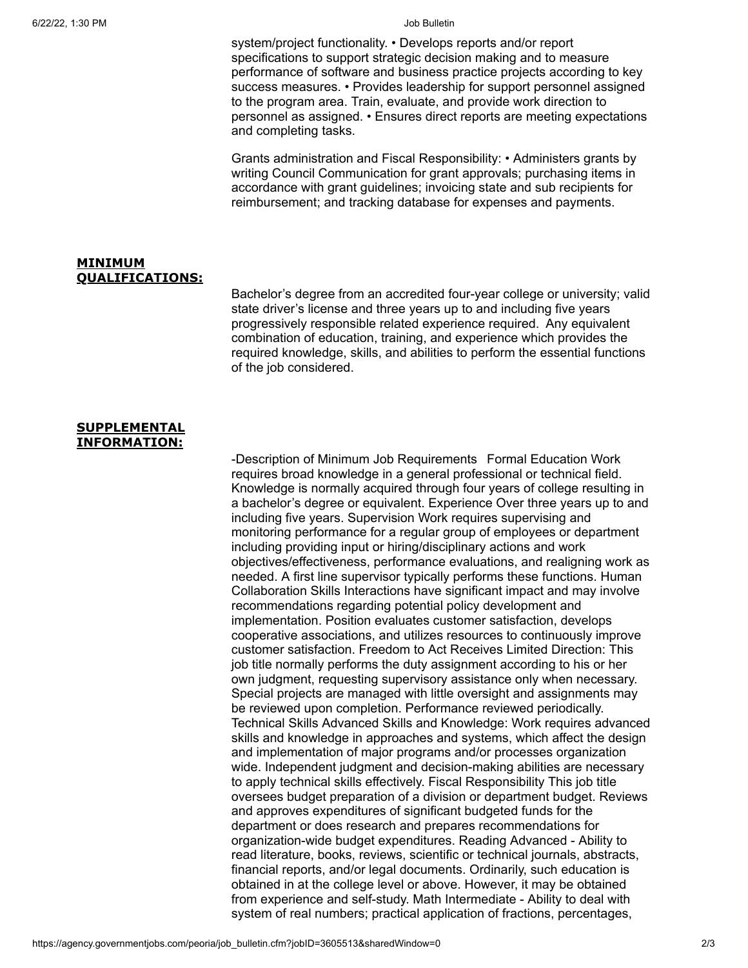system/project functionality. • Develops reports and/or report specifications to support strategic decision making and to measure performance of software and business practice projects according to key success measures. • Provides leadership for support personnel assigned to the program area. Train, evaluate, and provide work direction to personnel as assigned. • Ensures direct reports are meeting expectations and completing tasks.

Grants administration and Fiscal Responsibility: • Administers grants by writing Council Communication for grant approvals; purchasing items in accordance with grant guidelines; invoicing state and sub recipients for reimbursement; and tracking database for expenses and payments.

### **MINIMUM QUALIFICATIONS:**

Bachelor's degree from an accredited four-year college or university; valid state driver's license and three years up to and including five years progressively responsible related experience required. Any equivalent combination of education, training, and experience which provides the required knowledge, skills, and abilities to perform the essential functions of the job considered.

### **SUPPLEMENTAL INFORMATION:**

-Description of Minimum Job Requirements Formal Education Work requires broad knowledge in a general professional or technical field. Knowledge is normally acquired through four years of college resulting in a bachelor's degree or equivalent. Experience Over three years up to and including five years. Supervision Work requires supervising and monitoring performance for a regular group of employees or department including providing input or hiring/disciplinary actions and work objectives/effectiveness, performance evaluations, and realigning work as needed. A first line supervisor typically performs these functions. Human Collaboration Skills Interactions have significant impact and may involve recommendations regarding potential policy development and implementation. Position evaluates customer satisfaction, develops cooperative associations, and utilizes resources to continuously improve customer satisfaction. Freedom to Act Receives Limited Direction: This job title normally performs the duty assignment according to his or her own judgment, requesting supervisory assistance only when necessary. Special projects are managed with little oversight and assignments may be reviewed upon completion. Performance reviewed periodically. Technical Skills Advanced Skills and Knowledge: Work requires advanced skills and knowledge in approaches and systems, which affect the design and implementation of major programs and/or processes organization wide. Independent judgment and decision-making abilities are necessary to apply technical skills effectively. Fiscal Responsibility This job title oversees budget preparation of a division or department budget. Reviews and approves expenditures of significant budgeted funds for the department or does research and prepares recommendations for organization-wide budget expenditures. Reading Advanced - Ability to read literature, books, reviews, scientific or technical journals, abstracts, financial reports, and/or legal documents. Ordinarily, such education is obtained in at the college level or above. However, it may be obtained from experience and self-study. Math Intermediate - Ability to deal with system of real numbers; practical application of fractions, percentages,